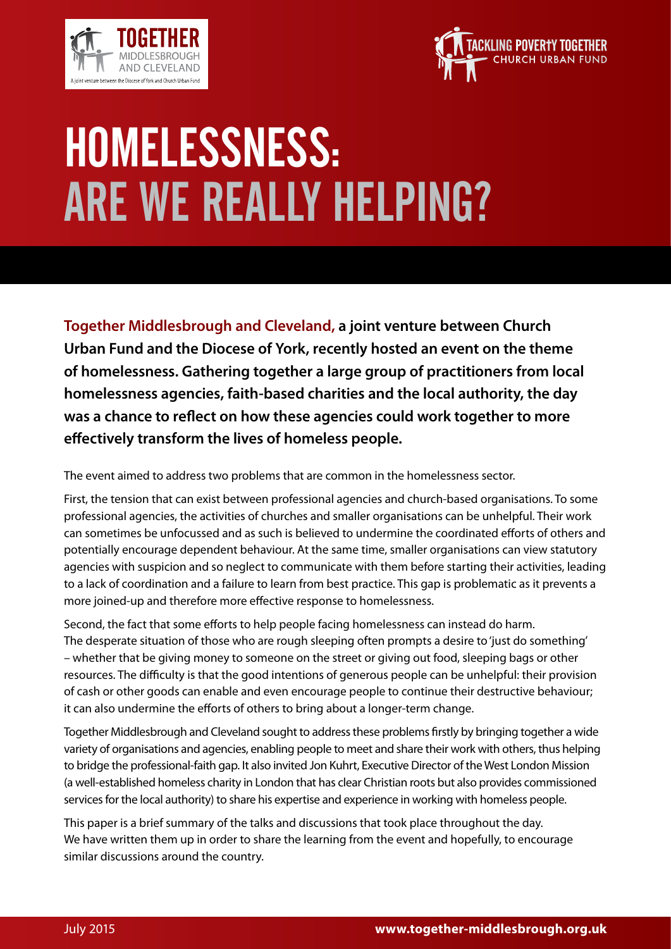



**Together Middlesbrough and Cleveland, a joint venture between Church Urban Fund and the Diocese of York, recently hosted an event on the theme of homelessness. Gathering together a large group of practitioners from local homelessness agencies, faith-based charities and the local authority, the day was a chance to reflect on how these agencies could work together to more effectively transform the lives of homeless people.** 

The event aimed to address two problems that are common in the homelessness sector.

First, the tension that can exist between professional agencies and church-based organisations. To some professional agencies, the activities of churches and smaller organisations can be unhelpful. Their work can sometimes be unfocussed and as such is believed to undermine the coordinated efforts of others and potentially encourage dependent behaviour. At the same time, smaller organisations can view statutory agencies with suspicion and so neglect to communicate with them before starting their activities, leading to a lack of coordination and a failure to learn from best practice. This gap is problematic as it prevents a more joined-up and therefore more effective response to homelessness.

Second, the fact that some efforts to help people facing homelessness can instead do harm. The desperate situation of those who are rough sleeping often prompts a desire to 'just do something' – whether that be giving money to someone on the street or giving out food, sleeping bags or other resources. The difficulty is that the good intentions of generous people can be unhelpful: their provision of cash or other goods can enable and even encourage people to continue their destructive behaviour; it can also undermine the efforts of others to bring about a longer-term change.

Together Middlesbrough and Cleveland sought to address these problems firstly by bringing together a wide variety of organisations and agencies, enabling people to meet and share their work with others, thus helping to bridge the professional-faith gap. It also invited Jon Kuhrt, Executive Director of the West London Mission (a well-established homeless charity in London that has clear Christian roots but also provides commissioned services for the local authority) to share his expertise and experience in working with homeless people.

This paper is a brief summary of the talks and discussions that took place throughout the day. We have written them up in order to share the learning from the event and hopefully, to encourage similar discussions around the country.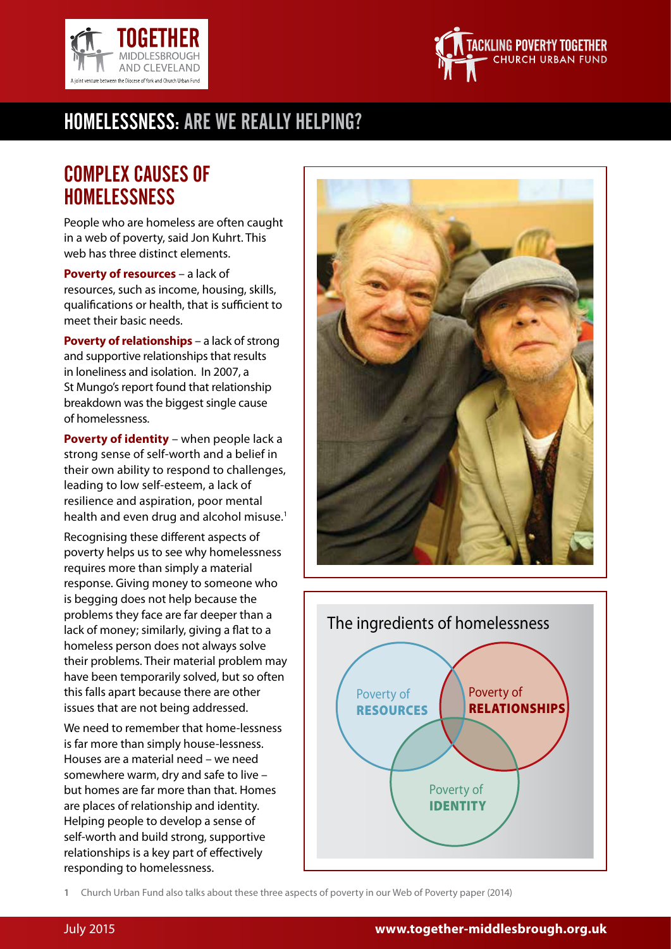



### Complex causes of **HOMELESSNESS**

People who are homeless are often caught in a web of poverty, said Jon Kuhrt. This web has three distinct elements.

**Poverty of resources** – a lack of resources, such as income, housing, skills, qualifications or health, that is sufficient to meet their basic needs.

**Poverty of relationships** – a lack of strong and supportive relationships that results in loneliness and isolation. In 2007, a St Mungo's report found that relationship breakdown was the biggest single cause of homelessness.

**Poverty of identity** – when people lack a strong sense of self-worth and a belief in their own ability to respond to challenges, leading to low self-esteem, a lack of resilience and aspiration, poor mental health and even drug and alcohol misuse.<sup>1</sup>

Recognising these different aspects of poverty helps us to see why homelessness requires more than simply a material response. Giving money to someone who is begging does not help because the problems they face are far deeper than a lack of money; similarly, giving a flat to a homeless person does not always solve their problems. Their material problem may have been temporarily solved, but so often this falls apart because there are other issues that are not being addressed.

We need to remember that home-lessness is far more than simply house-lessness. Houses are a material need – we need somewhere warm, dry and safe to live – but homes are far more than that. Homes are places of relationship and identity. Helping people to develop a sense of self-worth and build strong, supportive relationships is a key part of effectively responding to homelessness.





**1** Church Urban Fund also talks about these three aspects of poverty in our Web of Poverty paper (2014)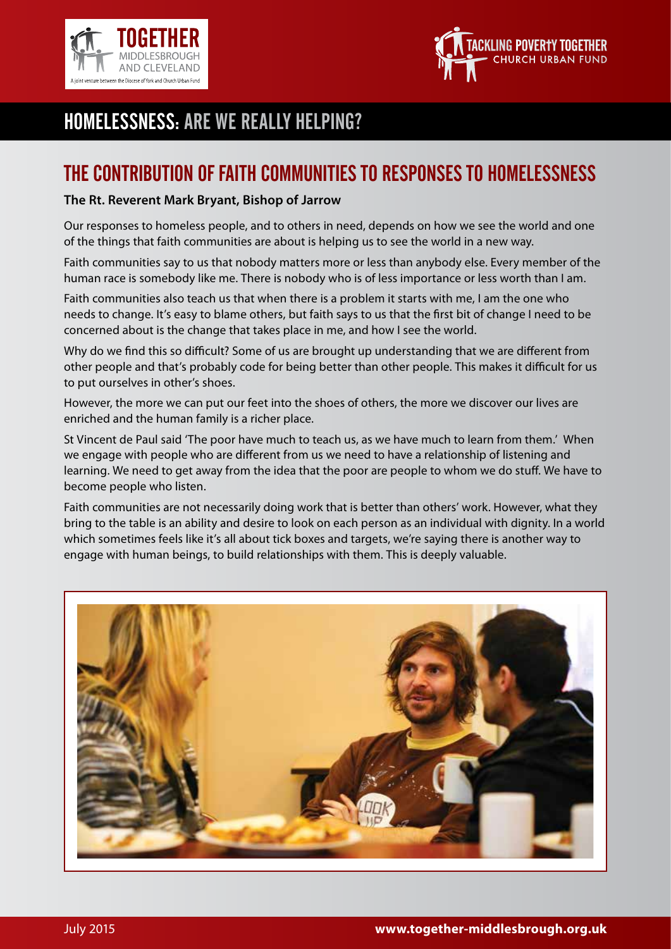



#### The contribution of faith communities to responses to homelessness

#### **The Rt. Reverent Mark Bryant, Bishop of Jarrow**

Our responses to homeless people, and to others in need, depends on how we see the world and one of the things that faith communities are about is helping us to see the world in a new way.

Faith communities say to us that nobody matters more or less than anybody else. Every member of the human race is somebody like me. There is nobody who is of less importance or less worth than I am.

Faith communities also teach us that when there is a problem it starts with me, I am the one who needs to change. It's easy to blame others, but faith says to us that the first bit of change I need to be concerned about is the change that takes place in me, and how I see the world.

Why do we find this so difficult? Some of us are brought up understanding that we are different from other people and that's probably code for being better than other people. This makes it difficult for us to put ourselves in other's shoes.

However, the more we can put our feet into the shoes of others, the more we discover our lives are enriched and the human family is a richer place.

St Vincent de Paul said 'The poor have much to teach us, as we have much to learn from them.' When we engage with people who are different from us we need to have a relationship of listening and learning. We need to get away from the idea that the poor are people to whom we do stuff. We have to become people who listen.

Faith communities are not necessarily doing work that is better than others' work. However, what they bring to the table is an ability and desire to look on each person as an individual with dignity. In a world which sometimes feels like it's all about tick boxes and targets, we're saying there is another way to engage with human beings, to build relationships with them. This is deeply valuable.

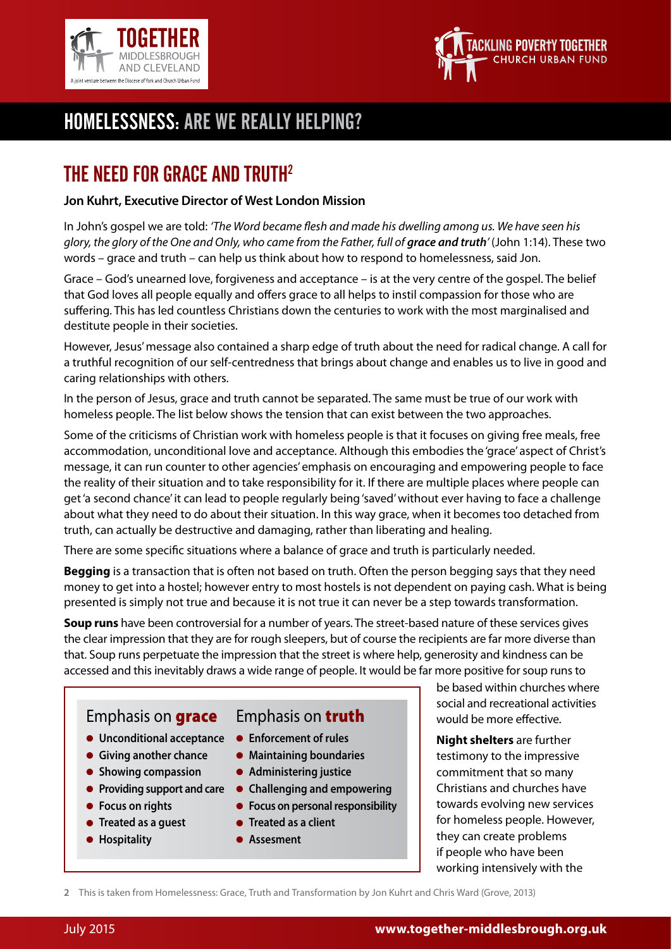



## the need for Grace and Truth2

#### **Jon Kuhrt, Executive Director of West London Mission**

In John's gospel we are told: *'The Word became flesh and made his dwelling among us. We have seen his glory, the glory of the One and Only, who came from the Father, full of grace and truth'* (John 1:14). These two words – grace and truth – can help us think about how to respond to homelessness, said Jon.

Grace – God's unearned love, forgiveness and acceptance – is at the very centre of the gospel. The belief that God loves all people equally and offers grace to all helps to instil compassion for those who are suffering. This has led countless Christians down the centuries to work with the most marginalised and destitute people in their societies.

However, Jesus' message also contained a sharp edge of truth about the need for radical change. A call for a truthful recognition of our self-centredness that brings about change and enables us to live in good and caring relationships with others.

In the person of Jesus, grace and truth cannot be separated. The same must be true of our work with homeless people. The list below shows the tension that can exist between the two approaches.

Some of the criticisms of Christian work with homeless people is that it focuses on giving free meals, free accommodation, unconditional love and acceptance. Although this embodies the 'grace' aspect of Christ's message, it can run counter to other agencies' emphasis on encouraging and empowering people to face the reality of their situation and to take responsibility for it. If there are multiple places where people can get 'a second chance' it can lead to people regularly being 'saved' without ever having to face a challenge about what they need to do about their situation. In this way grace, when it becomes too detached from truth, can actually be destructive and damaging, rather than liberating and healing.

There are some specific situations where a balance of grace and truth is particularly needed.

**Begging** is a transaction that is often not based on truth. Often the person begging says that they need money to get into a hostel; however entry to most hostels is not dependent on paying cash. What is being presented is simply not true and because it is not true it can never be a step towards transformation.

**Soup runs** have been controversial for a number of years. The street-based nature of these services gives the clear impression that they are for rough sleepers, but of course the recipients are far more diverse than that. Soup runs perpetuate the impression that the street is where help, generosity and kindness can be accessed and this inevitably draws a wide range of people. It would be far more positive for soup runs to



- **Showing compassion**
- **Providing support and care**
- **Focus on rights**
- **Treated as a guest**
- **Hospitality**
- **Administering justice**
- **Challenging and empowering**
- **Focus on personal responsibility**
- **Treated as a client**
- **Assesment**

be based within churches where social and recreational activities would be more effective.

**Night shelters** are further testimony to the impressive commitment that so many Christians and churches have towards evolving new services for homeless people. However, they can create problems if people who have been working intensively with the

**2** This is taken from Homelessness: Grace, Truth and Transformation by Jon Kuhrt and Chris Ward (Grove, 2013)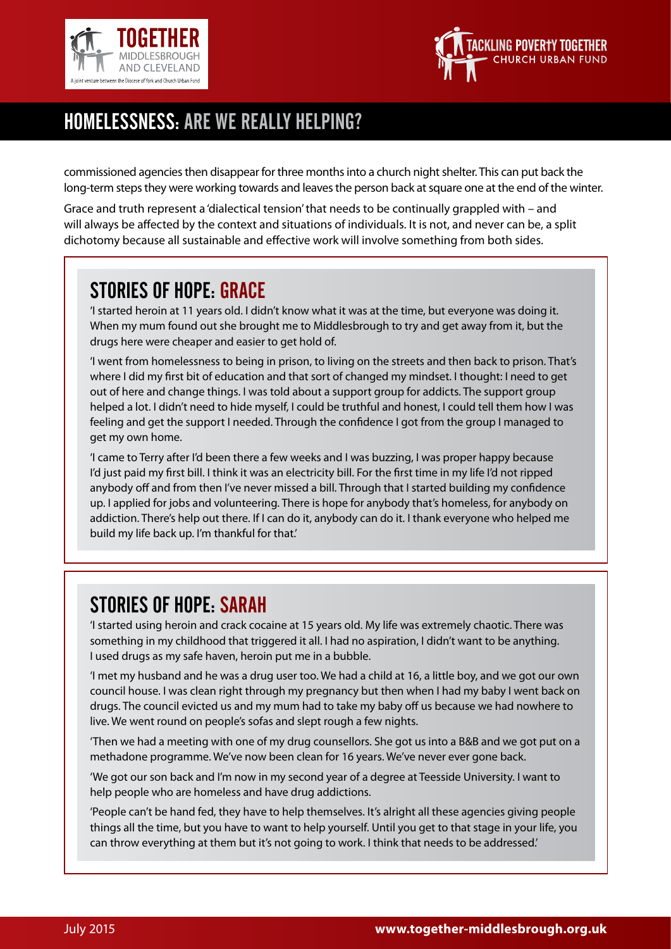



commissioned agencies then disappear for three months into a church night shelter. This can put back the long-term steps they were working towards and leaves the person back at square one at the end of the winter.

Grace and truth represent a 'dialectical tension' that needs to be continually grappled with – and will always be affected by the context and situations of individuals. It is not, and never can be, a split dichotomy because all sustainable and effective work will involve something from both sides.

## Stories of hope: Grace

'I started heroin at 11 years old. I didn't know what it was at the time, but everyone was doing it. When my mum found out she brought me to Middlesbrough to try and get away from it, but the drugs here were cheaper and easier to get hold of.

'I went from homelessness to being in prison, to living on the streets and then back to prison. That's where I did my first bit of education and that sort of changed my mindset. I thought: I need to get out of here and change things. I was told about a support group for addicts. The support group helped a lot. I didn't need to hide myself, I could be truthful and honest, I could tell them how I was feeling and get the support I needed. Through the confidence I got from the group I managed to get my own home.

'I came to Terry after I'd been there a few weeks and I was buzzing, I was proper happy because I'd just paid my first bill. I think it was an electricity bill. For the first time in my life I'd not ripped anybody off and from then I've never missed a bill. Through that I started building my confidence up. I applied for jobs and volunteering. There is hope for anybody that's homeless, for anybody on addiction. There's help out there. If I can do it, anybody can do it. I thank everyone who helped me build my life back up. I'm thankful for that.'

# Stories of hope: Sarah

'I started using heroin and crack cocaine at 15 years old. My life was extremely chaotic. There was something in my childhood that triggered it all. I had no aspiration, I didn't want to be anything. I used drugs as my safe haven, heroin put me in a bubble.

'I met my husband and he was a drug user too. We had a child at 16, a little boy, and we got our own council house. I was clean right through my pregnancy but then when I had my baby I went back on drugs. The council evicted us and my mum had to take my baby off us because we had nowhere to live. We went round on people's sofas and slept rough a few nights.

'Then we had a meeting with one of my drug counsellors. She got us into a B&B and we got put on a methadone programme. We've now been clean for 16 years. We've never ever gone back.

'We got our son back and I'm now in my second year of a degree at Teesside University. I want to help people who are homeless and have drug addictions.

'People can't be hand fed, they have to help themselves. It's alright all these agencies giving people things all the time, but you have to want to help yourself. Until you get to that stage in your life, you can throw everything at them but it's not going to work. I think that needs to be addressed.'